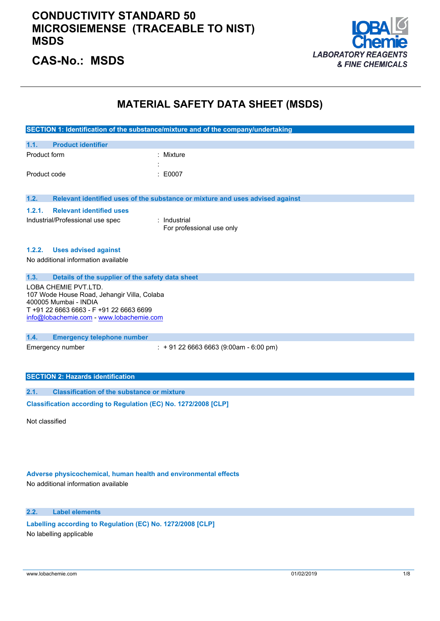

### **CAS-No.: MSDS**

### **MATERIAL SAFETY DATA SHEET (MSDS)**

|              |                                                                      | SECTION 1: Identification of the substance/mixture and of the company/undertaking |
|--------------|----------------------------------------------------------------------|-----------------------------------------------------------------------------------|
| 1.1.         | <b>Product identifier</b>                                            |                                                                                   |
| Product form |                                                                      | : Mixture                                                                         |
|              |                                                                      |                                                                                   |
| Product code |                                                                      | E0007                                                                             |
|              |                                                                      |                                                                                   |
| 1.2.         |                                                                      | Relevant identified uses of the substance or mixture and uses advised against     |
| 1.2.1.       | <b>Relevant identified uses</b>                                      |                                                                                   |
|              | Industrial/Professional use spec                                     | $:$ Industrial                                                                    |
|              |                                                                      | For professional use only                                                         |
| 1.2.2.       | <b>Uses advised against</b>                                          |                                                                                   |
|              | No additional information available                                  |                                                                                   |
|              |                                                                      |                                                                                   |
| 1.3.         | Details of the supplier of the safety data sheet                     |                                                                                   |
|              | LOBA CHEMIE PVT.LTD.                                                 |                                                                                   |
|              | 107 Wode House Road, Jehangir Villa, Colaba<br>400005 Mumbai - INDIA |                                                                                   |
|              | T+91 22 6663 6663 - F+91 22 6663 6699                                |                                                                                   |
|              | info@lobachemie.com - www.lobachemie.com                             |                                                                                   |
| 1.4.         | <b>Emergency telephone number</b>                                    |                                                                                   |
|              | Emergency number                                                     | $\div$ + 91 22 6663 6663 (9:00am - 6:00 pm)                                       |
|              |                                                                      |                                                                                   |
|              |                                                                      |                                                                                   |
|              | <b>SECTION 2: Hazards identification</b>                             |                                                                                   |
| 2.1.         | <b>Classification of the substance or mixture</b>                    |                                                                                   |

 $C$ lassification  $\text{according to Regulation (EC)}$  No.  $1272/2008$  [CLP]

Not classified

### **Adverse physicochemical, human health and environmental effects**

No additional information available

#### **2.2. Label elements**

**Labelling according** to Regulation (EC) No. 1272/2008 [CLP] No labelling applicable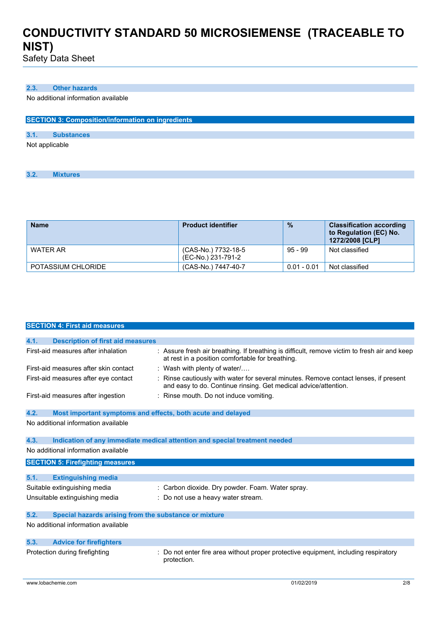Safety Data Sheet

#### **2.3. Other hazards**

No additional information available

| <b>SECTION 3: Composition/information on ingredients</b> |                   |  |  |  |
|----------------------------------------------------------|-------------------|--|--|--|
|                                                          |                   |  |  |  |
| 3.1.                                                     | <b>Substances</b> |  |  |  |
| Not applicable                                           |                   |  |  |  |

**3.2. Mixtures**

| <b>Name</b>        | <b>Product identifier</b>                 | $\frac{9}{6}$ | <b>Classification according</b><br>to Regulation (EC) No.<br>1272/2008 [CLP] |
|--------------------|-------------------------------------------|---------------|------------------------------------------------------------------------------|
| WATER AR           | (CAS-No.) 7732-18-5<br>(EC-No.) 231-791-2 | $95 - 99$     | Not classified                                                               |
| POTASSIUM CHLORIDE | (CAS-No.) 7447-40-7                       | $0.01 - 0.01$ | Not classified                                                               |

|      | <b>SECTION 4: First aid measures</b>                        |                                                                                                                                                       |
|------|-------------------------------------------------------------|-------------------------------------------------------------------------------------------------------------------------------------------------------|
|      |                                                             |                                                                                                                                                       |
| 4.1. | <b>Description of first aid measures</b>                    |                                                                                                                                                       |
|      | First-aid measures after inhalation                         | : Assure fresh air breathing. If breathing is difficult, remove victim to fresh air and keep<br>at rest in a position comfortable for breathing.      |
|      | First-aid measures after skin contact                       | Wash with plenty of water/                                                                                                                            |
|      | First-aid measures after eye contact                        | Rinse cautiously with water for several minutes. Remove contact lenses, if present<br>and easy to do. Continue rinsing. Get medical advice/attention. |
|      | First-aid measures after ingestion                          | : Rinse mouth. Do not induce vomiting.                                                                                                                |
| 4.2. | Most important symptoms and effects, both acute and delayed |                                                                                                                                                       |
|      | No additional information available                         |                                                                                                                                                       |
|      |                                                             |                                                                                                                                                       |
| 4.3. |                                                             | Indication of any immediate medical attention and special treatment needed                                                                            |
|      | No additional information available                         |                                                                                                                                                       |
|      | <b>SECTION 5: Firefighting measures</b>                     |                                                                                                                                                       |
| 5.1. | <b>Extinguishing media</b>                                  |                                                                                                                                                       |
|      | Suitable extinguishing media                                | : Carbon dioxide. Dry powder. Foam. Water spray.                                                                                                      |
|      |                                                             |                                                                                                                                                       |
|      | Unsuitable extinguishing media                              | : Do not use a heavy water stream.                                                                                                                    |
| 5.2. | Special hazards arising from the substance or mixture       |                                                                                                                                                       |
|      | No additional information available                         |                                                                                                                                                       |
|      |                                                             |                                                                                                                                                       |
| 5.3. | <b>Advice for firefighters</b>                              |                                                                                                                                                       |
|      | Protection during firefighting                              | Do not enter fire area without proper protective equipment, including respiratory<br>protection.                                                      |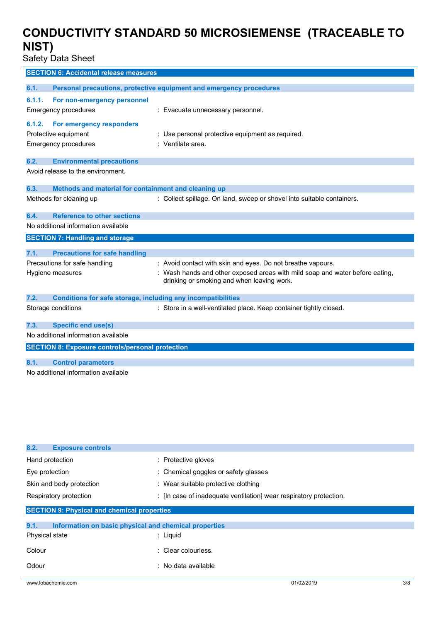Safety Data Sheet

| <b>SECTION 6: Accidental release measures</b>                               |                                                                              |
|-----------------------------------------------------------------------------|------------------------------------------------------------------------------|
|                                                                             |                                                                              |
| 6.1.                                                                        | Personal precautions, protective equipment and emergency procedures          |
| 6.1.1.<br>For non-emergency personnel                                       |                                                                              |
| <b>Emergency procedures</b>                                                 | : Evacuate unnecessary personnel.                                            |
|                                                                             |                                                                              |
| 6.1.2.<br>For emergency responders                                          |                                                                              |
| Protective equipment                                                        | : Use personal protective equipment as required.                             |
| <b>Emergency procedures</b>                                                 | : Ventilate area.                                                            |
| 6.2.<br><b>Environmental precautions</b>                                    |                                                                              |
| Avoid release to the environment.                                           |                                                                              |
|                                                                             |                                                                              |
| Methods and material for containment and cleaning up<br>6.3.                |                                                                              |
| Methods for cleaning up                                                     | : Collect spillage. On land, sweep or shovel into suitable containers.       |
|                                                                             |                                                                              |
| <b>Reference to other sections</b><br>6.4.                                  |                                                                              |
| No additional information available                                         |                                                                              |
| <b>SECTION 7: Handling and storage</b>                                      |                                                                              |
|                                                                             |                                                                              |
| 7.1.<br><b>Precautions for safe handling</b>                                |                                                                              |
| Precautions for safe handling                                               | : Avoid contact with skin and eyes. Do not breathe vapours.                  |
| Hygiene measures                                                            | : Wash hands and other exposed areas with mild soap and water before eating, |
|                                                                             | drinking or smoking and when leaving work.                                   |
|                                                                             |                                                                              |
| 7.2.<br><b>Conditions for safe storage, including any incompatibilities</b> |                                                                              |
| Storage conditions                                                          | : Store in a well-ventilated place. Keep container tightly closed.           |
| <b>Specific end use(s)</b><br>7.3.                                          |                                                                              |
| No additional information available                                         |                                                                              |
|                                                                             |                                                                              |
| <b>SECTION 8: Exposure controls/personal protection</b>                     |                                                                              |
| <b>Control parameters</b><br>8.1.                                           |                                                                              |
| No additional information available                                         |                                                                              |

| 8.2.<br><b>Exposure controls</b>                              |                                                                    |  |  |
|---------------------------------------------------------------|--------------------------------------------------------------------|--|--|
| Hand protection                                               | : Protective gloves                                                |  |  |
| Eye protection                                                | : Chemical goggles or safety glasses                               |  |  |
| Skin and body protection                                      | : Wear suitable protective clothing                                |  |  |
| Respiratory protection                                        | : [In case of inadequate ventilation] wear respiratory protection. |  |  |
| <b>SECTION 9: Physical and chemical properties</b>            |                                                                    |  |  |
| 9.1.<br>Information on basic physical and chemical properties |                                                                    |  |  |
| Physical state                                                | $:$ Liquid                                                         |  |  |
| Colour                                                        | : Clear colourless.                                                |  |  |
| Odour                                                         | $:$ No data available                                              |  |  |
|                                                               |                                                                    |  |  |

www.lobachemie.com 01/02/2019 3/8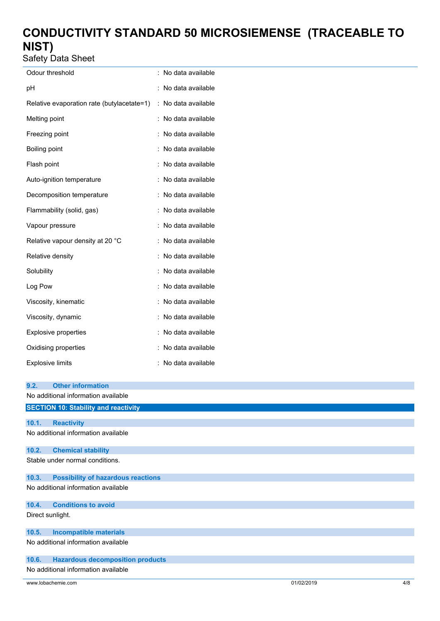Safety Data Sheet

| Odour threshold                            |                | No data available |
|--------------------------------------------|----------------|-------------------|
| рH                                         |                | No data available |
| Relative evaporation rate (butylacetate=1) | $\ddot{\cdot}$ | No data available |
| Melting point                              |                | No data available |
| Freezing point                             |                | No data available |
| Boiling point                              |                | No data available |
| Flash point                                |                | No data available |
| Auto-ignition temperature                  |                | No data available |
| Decomposition temperature                  |                | No data available |
| Flammability (solid, gas)                  |                | No data available |
| Vapour pressure                            |                | No data available |
| Relative vapour density at 20 °C           |                | No data available |
| Relative density                           |                | No data available |
| Solubility                                 |                | No data available |
| Log Pow                                    |                | No data available |
| Viscosity, kinematic                       |                | No data available |
| Viscosity, dynamic                         |                | No data available |
| Explosive properties                       |                | No data available |
| Oxidising properties                       |                | No data available |
| <b>Explosive limits</b>                    |                | No data available |

| 9.2.             | <b>Other information</b>                    |  |
|------------------|---------------------------------------------|--|
|                  | No additional information available         |  |
|                  | <b>SECTION 10: Stability and reactivity</b> |  |
| 10.1.            | <b>Reactivity</b>                           |  |
|                  | No additional information available         |  |
|                  |                                             |  |
| 10.2.            | <b>Chemical stability</b>                   |  |
|                  | Stable under normal conditions.             |  |
|                  |                                             |  |
| 10.3.            | <b>Possibility of hazardous reactions</b>   |  |
|                  | No additional information available         |  |
|                  |                                             |  |
| 10.4.            | <b>Conditions to avoid</b>                  |  |
| Direct sunlight. |                                             |  |
|                  |                                             |  |
| 10.5.            | <b>Incompatible materials</b>               |  |
|                  | No additional information available         |  |
| 10.6.            | <b>Hazardous decomposition products</b>     |  |
|                  | No additional information available         |  |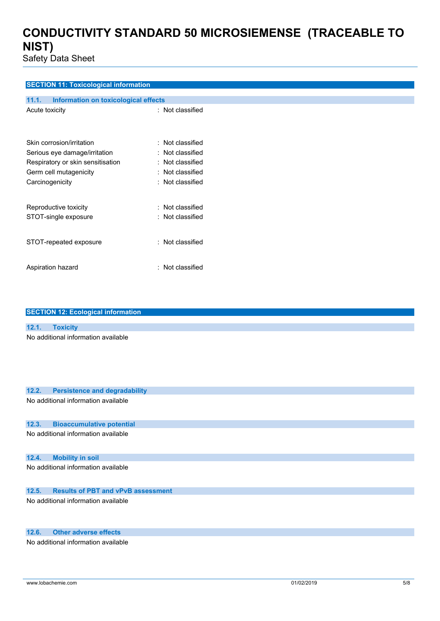Safety Data Sheet

### **SECTION 11: Toxicological information**

| 11.1.<br><b>Information on toxicological effects</b> |                  |
|------------------------------------------------------|------------------|
| Acute toxicity                                       | : Not classified |
| Skin corrosion/irritation                            | : Not classified |
| Serious eye damage/irritation                        | : Not classified |
| Respiratory or skin sensitisation                    | : Not classified |
| Germ cell mutagenicity                               | : Not classified |
| Carcinogenicity                                      | : Not classified |
| Reproductive toxicity                                | : Not classified |
| STOT-single exposure                                 | : Not classified |
| STOT-repeated exposure                               | : Not classified |
| Aspiration hazard                                    | : Not classified |

| <b>SECTION 12: Ecological information</b>          |
|----------------------------------------------------|
|                                                    |
| 12.1.<br><b>Toxicity</b>                           |
| No additional information available                |
|                                                    |
|                                                    |
|                                                    |
|                                                    |
|                                                    |
| <b>Persistence and degradability</b><br>12.2.      |
| No additional information available                |
|                                                    |
| 12.3.<br><b>Bioaccumulative potential</b>          |
| No additional information available                |
|                                                    |
|                                                    |
| 12.4.<br><b>Mobility in soil</b>                   |
| No additional information available                |
|                                                    |
| <b>Results of PBT and vPvB assessment</b><br>12.5. |
|                                                    |
| No additional information available                |
|                                                    |
|                                                    |
| <b>Other adverse effects</b><br>12.6.              |
| No additional information available                |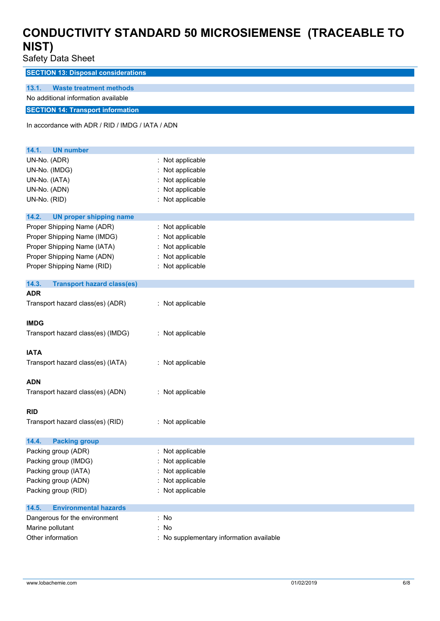Safety Data Sheet

**SECTION 13: Disposal considerations**

#### **13.1. Waste treatment methods**

No additional information available

### **SECTION 14: Transport information**

In accordance with ADR / RID / IMDG / IATA / ADN

| 14.1.<br><b>UN number</b>                  |                                          |
|--------------------------------------------|------------------------------------------|
| UN-No. (ADR)                               | Not applicable                           |
| UN-No. (IMDG)                              | Not applicable                           |
| UN-No. (IATA)                              | Not applicable                           |
| UN-No. (ADN)                               | Not applicable                           |
| UN-No. (RID)                               | Not applicable                           |
| 14.2.<br><b>UN proper shipping name</b>    |                                          |
| Proper Shipping Name (ADR)                 | Not applicable                           |
| Proper Shipping Name (IMDG)                | Not applicable                           |
| Proper Shipping Name (IATA)                | Not applicable                           |
| Proper Shipping Name (ADN)                 | : Not applicable                         |
| Proper Shipping Name (RID)                 | : Not applicable                         |
| 14.3.<br><b>Transport hazard class(es)</b> |                                          |
| <b>ADR</b>                                 |                                          |
| Transport hazard class(es) (ADR)           | : Not applicable                         |
| <b>IMDG</b>                                |                                          |
| Transport hazard class(es) (IMDG)          | : Not applicable                         |
| <b>IATA</b>                                |                                          |
| Transport hazard class(es) (IATA)          | : Not applicable                         |
| <b>ADN</b>                                 |                                          |
| Transport hazard class(es) (ADN)           | : Not applicable                         |
| <b>RID</b>                                 |                                          |
| Transport hazard class(es) (RID)           | : Not applicable                         |
| <b>Packing group</b><br>14.4.              |                                          |
| Packing group (ADR)                        | : Not applicable                         |
| Packing group (IMDG)                       | Not applicable                           |
| Packing group (IATA)                       | Not applicable                           |
| Packing group (ADN)                        | Not applicable                           |
| Packing group (RID)                        | Not applicable                           |
| 14.5.<br><b>Environmental hazards</b>      |                                          |
| Dangerous for the environment              | : No                                     |
| Marine pollutant                           | No                                       |
| Other information                          | : No supplementary information available |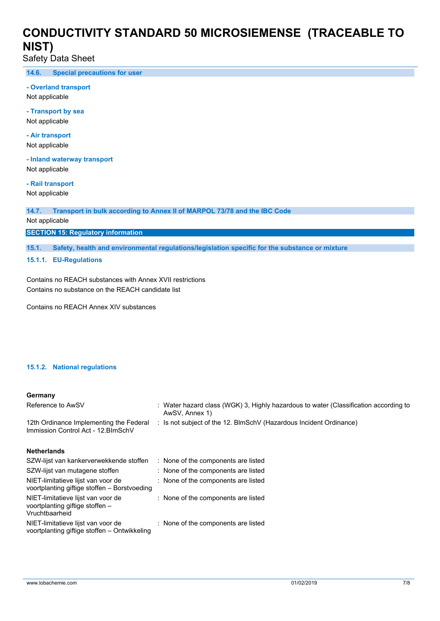Safety Data Sheet

**14.6. Special precautions for user**

#### **- Overland transport**

Not applicable

**- Transport by sea** Not applicable

**- Air transport** Not applicable

**- Inland waterway transport** Not applicable

**- Rail transport**

Not applicable

**14.7. Transport in bulk according to Annex II of MARPOL 73/78 and the IBC Code**

Not applicable

**SECTION 15: Regulatory information**

**15.1. Safety, health and environmental regulations/legislation specific for the substance or mixture**

**15.1.1. EU-Regulations**

Contains no REACH substances with Annex XVII restrictions Contains no substance on the REACH candidate list

Contains no REACH Annex XIV substances

#### **15.1.2. National regulations**

#### **Germany**

| Reference to AwSV                                                                       | : Water hazard class (WGK) 3, Highly hazardous to water (Classification according to<br>AwSV, Annex 1) |
|-----------------------------------------------------------------------------------------|--------------------------------------------------------------------------------------------------------|
| 12th Ordinance Implementing the Federal<br>Immission Control Act - 12. BlmSchV          | : Is not subject of the 12. BlmSchV (Hazardous Incident Ordinance)                                     |
| <b>Netherlands</b>                                                                      |                                                                                                        |
| SZW-lijst van kankerverwekkende stoffen                                                 | : None of the components are listed                                                                    |
| SZW-lijst van mutagene stoffen                                                          | : None of the components are listed                                                                    |
| NIET-limitatieve lijst van voor de<br>voortplanting giftige stoffen – Borstvoeding      | : None of the components are listed                                                                    |
| NIET-limitatieve lijst van voor de<br>voortplanting giftige stoffen -<br>Vruchtbaarheid | : None of the components are listed                                                                    |
| NIET-limitatieve lijst van voor de<br>voortplanting giftige stoffen – Ontwikkeling      | : None of the components are listed                                                                    |